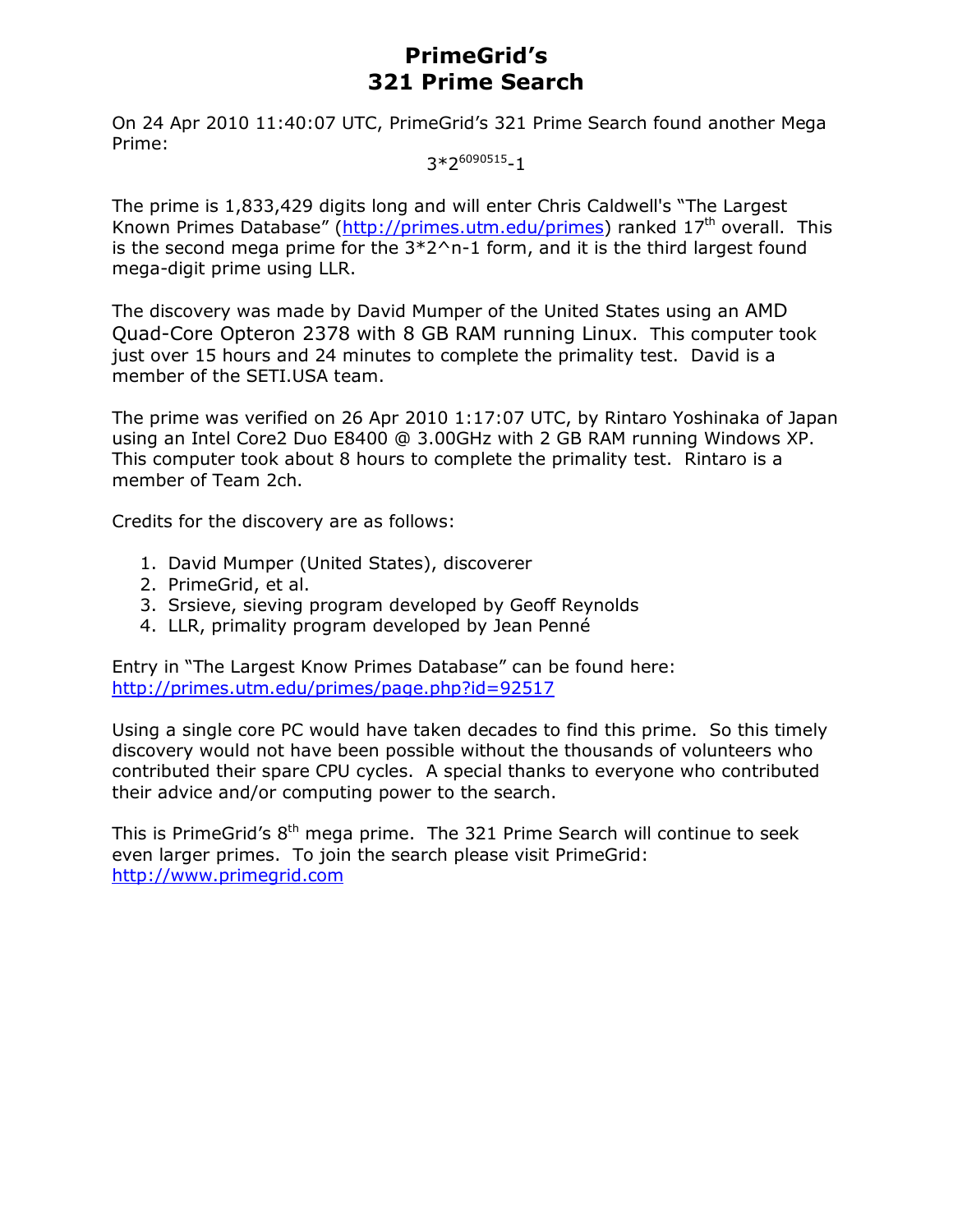# **PrimeGrid's 321 Prime Search**

On 24 Apr 2010 11:40:07 UTC, PrimeGrid's 321 Prime Search found another Mega Prime:

 $3*2^{6090515} - 1$ 

The prime is 1,833,429 digits long and will enter Chris Caldwell's "The Largest Known Primes Database" (http://primes.utm.edu/primes) ranked 17<sup>th</sup> overall. This is the second mega prime for the  $3*2^n-1$  form, and it is the third largest found mega-digit prime using LLR.

The discovery was made by David Mumper of the United States using an AMD Quad-Core Opteron 2378 with 8 GB RAM running Linux. This computer took just over 15 hours and 24 minutes to complete the primality test. David is a member of the SETI.USA team.

The prime was verified on 26 Apr 2010 1:17:07 UTC, by Rintaro Yoshinaka of Japan using an Intel Core2 Duo E8400 @ 3.00GHz with 2 GB RAM running Windows XP. This computer took about 8 hours to complete the primality test. Rintaro is a member of Team 2ch.

Credits for the discovery are as follows:

- 1. David Mumper (United States), discoverer
- 2. PrimeGrid, et al.
- 3. Srsieve, sieving program developed by Geoff Reynolds
- 4. LLR, primality program developed by Jean Penné

Entry in "The Largest Know Primes Database" can be found here: http://primes.utm.edu/primes/page.php?id=92517

Using a single core PC would have taken decades to find this prime. So this timely discovery would not have been possible without the thousands of volunteers who contributed their spare CPU cycles. A special thanks to everyone who contributed their advice and/or computing power to the search.

This is PrimeGrid's 8<sup>th</sup> mega prime. The 321 Prime Search will continue to seek even larger primes. To join the search please visit PrimeGrid: http://www.primegrid.com